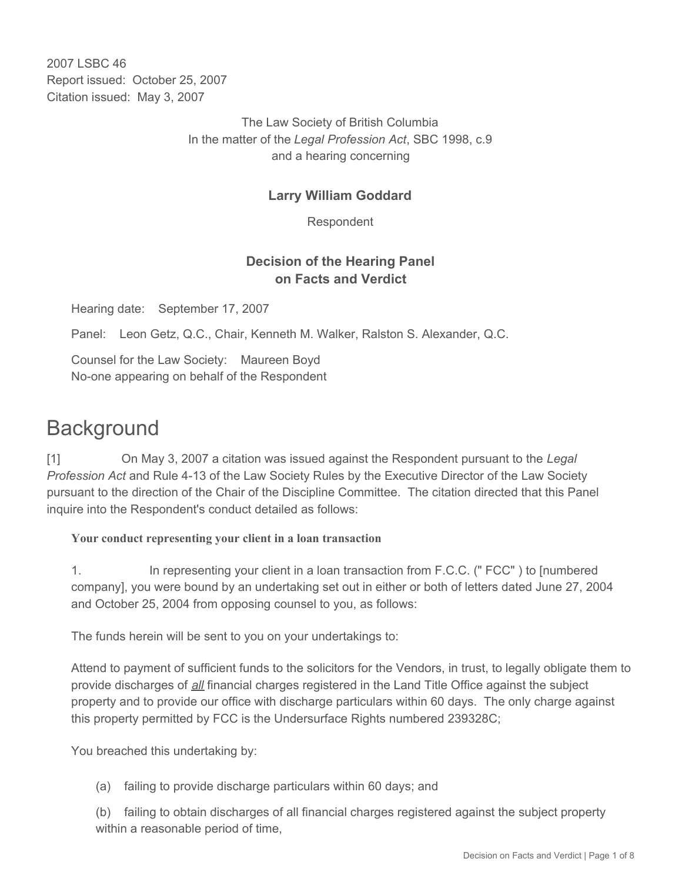2007 LSBC 46 Report issued: October 25, 2007 Citation issued: May 3, 2007

> The Law Society of British Columbia In the matter of the *Legal Profession Act*, SBC 1998, c.9 and a hearing concerning

# **Larry William Goddard**

Respondent

## **Decision of the Hearing Panel on Facts and Verdict**

Hearing date: September 17, 2007

Panel: Leon Getz, Q.C., Chair, Kenneth M. Walker, Ralston S. Alexander, Q.C.

Counsel for the Law Society: Maureen Boyd No-one appearing on behalf of the Respondent

# **Background**

[1] On May 3, 2007 a citation was issued against the Respondent pursuant to the *Legal Profession Act* and Rule 4-13 of the Law Society Rules by the Executive Director of the Law Society pursuant to the direction of the Chair of the Discipline Committee. The citation directed that this Panel inquire into the Respondent's conduct detailed as follows:

#### **Your conduct representing your client in a loan transaction**

1. In representing your client in a loan transaction from F.C.C. (" FCC" ) to [numbered company], you were bound by an undertaking set out in either or both of letters dated June 27, 2004 and October 25, 2004 from opposing counsel to you, as follows:

The funds herein will be sent to you on your undertakings to:

Attend to payment of sufficient funds to the solicitors for the Vendors, in trust, to legally obligate them to provide discharges of *all* financial charges registered in the Land Title Office against the subject property and to provide our office with discharge particulars within 60 days. The only charge against this property permitted by FCC is the Undersurface Rights numbered 239328C;

You breached this undertaking by:

(a) failing to provide discharge particulars within 60 days; and

(b) failing to obtain discharges of all financial charges registered against the subject property within a reasonable period of time.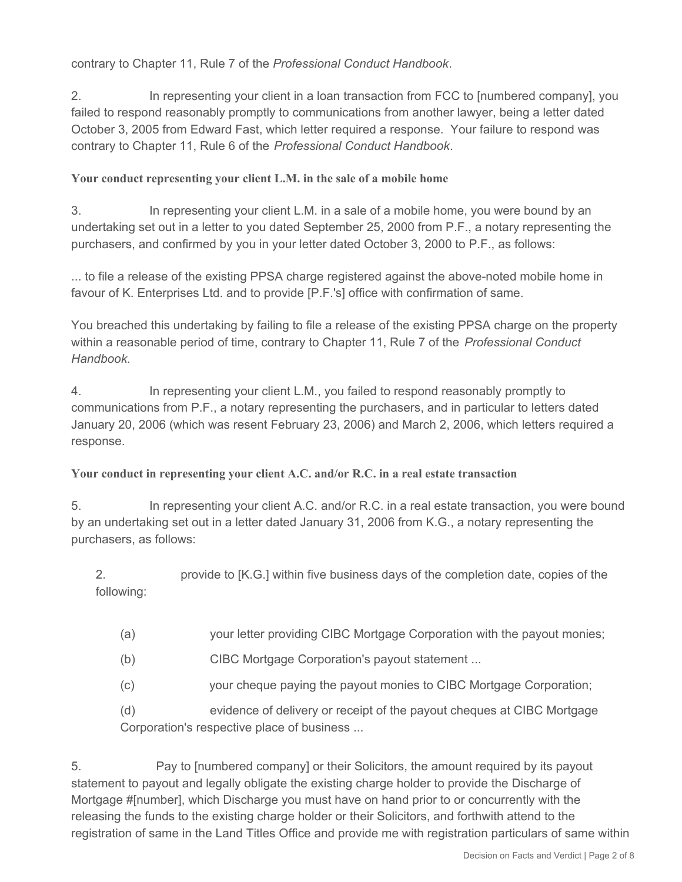contrary to Chapter 11, Rule 7 of the *Professional Conduct Handbook*.

2. In representing your client in a loan transaction from FCC to [numbered company], you failed to respond reasonably promptly to communications from another lawyer, being a letter dated October 3, 2005 from Edward Fast, which letter required a response. Your failure to respond was contrary to Chapter 11, Rule 6 of the *Professional Conduct Handbook*.

#### **Your conduct representing your client L.M. in the sale of a mobile home**

3. In representing your client L.M. in a sale of a mobile home, you were bound by an undertaking set out in a letter to you dated September 25, 2000 from P.F., a notary representing the purchasers, and confirmed by you in your letter dated October 3, 2000 to P.F., as follows:

... to file a release of the existing PPSA charge registered against the above-noted mobile home in favour of K. Enterprises Ltd. and to provide [P.F.'s] office with confirmation of same.

You breached this undertaking by failing to file a release of the existing PPSA charge on the property within a reasonable period of time, contrary to Chapter 11, Rule 7 of the *Professional Conduct Handbook*.

4. In representing your client L.M., you failed to respond reasonably promptly to communications from P.F., a notary representing the purchasers, and in particular to letters dated January 20, 2006 (which was resent February 23, 2006) and March 2, 2006, which letters required a response.

## **Your conduct in representing your client A.C. and/or R.C. in a real estate transaction**

5. In representing your client A.C. and/or R.C. in a real estate transaction, you were bound by an undertaking set out in a letter dated January 31, 2006 from K.G., a notary representing the purchasers, as follows:

2. provide to [K.G.] within five business days of the completion date, copies of the following:

- (a) your letter providing CIBC Mortgage Corporation with the payout monies;
- (b) CIBC Mortgage Corporation's payout statement ...
- (c) your cheque paying the payout monies to CIBC Mortgage Corporation;

(d) evidence of delivery or receipt of the payout cheques at CIBC Mortgage Corporation's respective place of business ...

5. Pay to [numbered company] or their Solicitors, the amount required by its payout statement to payout and legally obligate the existing charge holder to provide the Discharge of Mortgage #[number], which Discharge you must have on hand prior to or concurrently with the releasing the funds to the existing charge holder or their Solicitors, and forthwith attend to the registration of same in the Land Titles Office and provide me with registration particulars of same within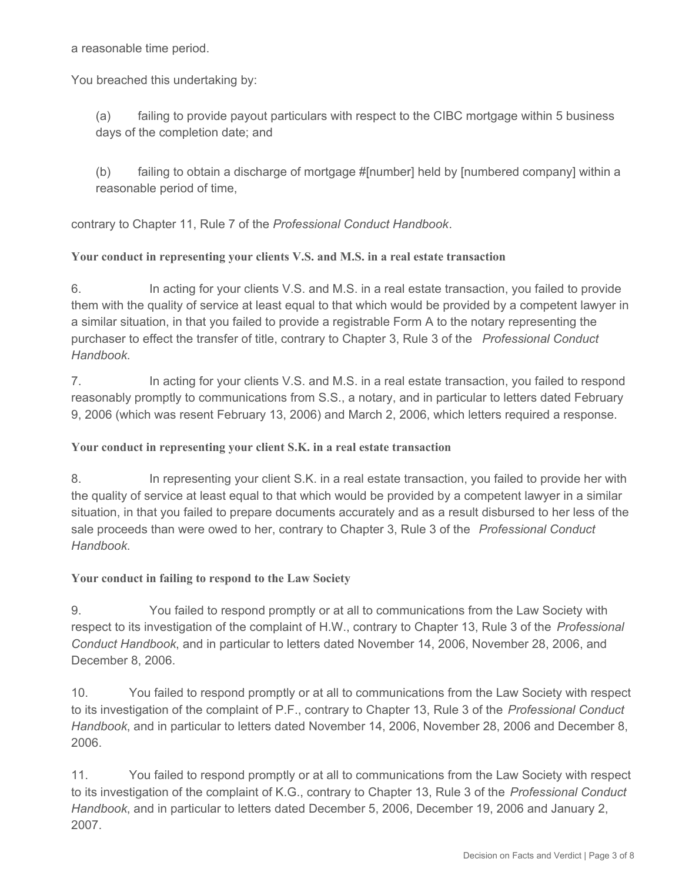a reasonable time period.

You breached this undertaking by:

(a) failing to provide payout particulars with respect to the CIBC mortgage within 5 business days of the completion date; and

(b) failing to obtain a discharge of mortgage #[number] held by [numbered company] within a reasonable period of time,

contrary to Chapter 11, Rule 7 of the *Professional Conduct Handbook*.

## **Your conduct in representing your clients V.S. and M.S. in a real estate transaction**

6. In acting for your clients V.S. and M.S. in a real estate transaction, you failed to provide them with the quality of service at least equal to that which would be provided by a competent lawyer in a similar situation, in that you failed to provide a registrable Form A to the notary representing the purchaser to effect the transfer of title, contrary to Chapter 3, Rule 3 of the *Professional Conduct Handbook*.

7. In acting for your clients V.S. and M.S. in a real estate transaction, you failed to respond reasonably promptly to communications from S.S., a notary, and in particular to letters dated February 9, 2006 (which was resent February 13, 2006) and March 2, 2006, which letters required a response.

## **Your conduct in representing your client S.K. in a real estate transaction**

8. In representing your client S.K. in a real estate transaction, you failed to provide her with the quality of service at least equal to that which would be provided by a competent lawyer in a similar situation, in that you failed to prepare documents accurately and as a result disbursed to her less of the sale proceeds than were owed to her, contrary to Chapter 3, Rule 3 of the *Professional Conduct Handbook*.

## **Your conduct in failing to respond to the Law Society**

9. You failed to respond promptly or at all to communications from the Law Society with respect to its investigation of the complaint of H.W., contrary to Chapter 13, Rule 3 of the *Professional Conduct Handbook*, and in particular to letters dated November 14, 2006, November 28, 2006, and December 8, 2006.

10. You failed to respond promptly or at all to communications from the Law Society with respect to its investigation of the complaint of P.F., contrary to Chapter 13, Rule 3 of the *Professional Conduct Handbook*, and in particular to letters dated November 14, 2006, November 28, 2006 and December 8, 2006.

11. You failed to respond promptly or at all to communications from the Law Society with respect to its investigation of the complaint of K.G., contrary to Chapter 13, Rule 3 of the *Professional Conduct Handbook*, and in particular to letters dated December 5, 2006, December 19, 2006 and January 2, 2007.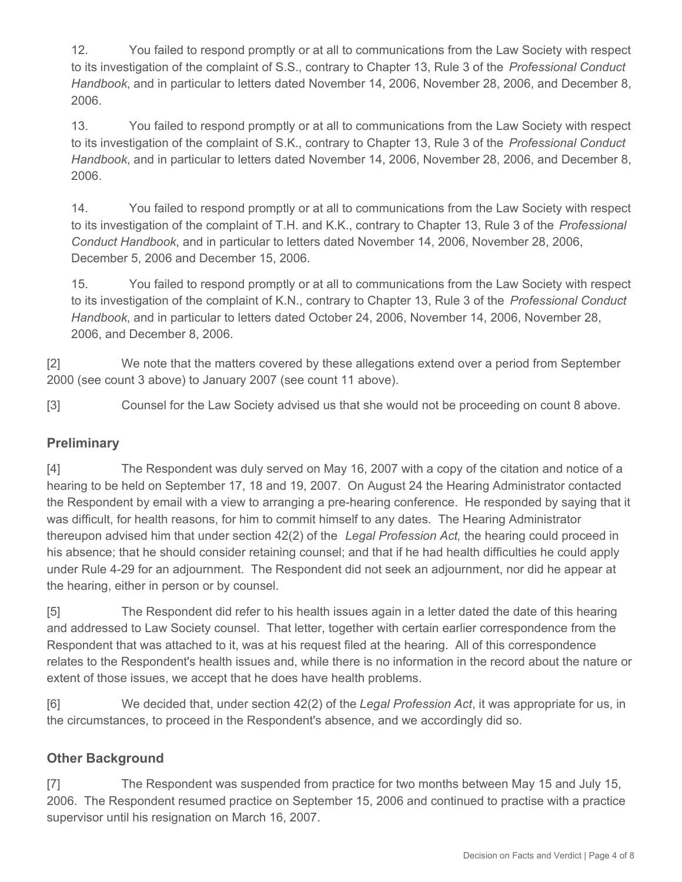12. You failed to respond promptly or at all to communications from the Law Society with respect to its investigation of the complaint of S.S., contrary to Chapter 13, Rule 3 of the *Professional Conduct Handbook*, and in particular to letters dated November 14, 2006, November 28, 2006, and December 8, 2006.

13. You failed to respond promptly or at all to communications from the Law Society with respect to its investigation of the complaint of S.K., contrary to Chapter 13, Rule 3 of the *Professional Conduct Handbook*, and in particular to letters dated November 14, 2006, November 28, 2006, and December 8, 2006.

14. You failed to respond promptly or at all to communications from the Law Society with respect to its investigation of the complaint of T.H. and K.K., contrary to Chapter 13, Rule 3 of the *Professional Conduct Handbook*, and in particular to letters dated November 14, 2006, November 28, 2006, December 5, 2006 and December 15, 2006.

15. You failed to respond promptly or at all to communications from the Law Society with respect to its investigation of the complaint of K.N., contrary to Chapter 13, Rule 3 of the *Professional Conduct Handbook*, and in particular to letters dated October 24, 2006, November 14, 2006, November 28, 2006, and December 8, 2006.

[2] We note that the matters covered by these allegations extend over a period from September 2000 (see count 3 above) to January 2007 (see count 11 above).

[3] Counsel for the Law Society advised us that she would not be proceeding on count 8 above.

# **Preliminary**

[4] The Respondent was duly served on May 16, 2007 with a copy of the citation and notice of a hearing to be held on September 17, 18 and 19, 2007. On August 24 the Hearing Administrator contacted the Respondent by email with a view to arranging a pre-hearing conference. He responded by saying that it was difficult, for health reasons, for him to commit himself to any dates. The Hearing Administrator thereupon advised him that under section 42(2) of the *Legal Profession Act,* the hearing could proceed in his absence; that he should consider retaining counsel; and that if he had health difficulties he could apply under Rule 4-29 for an adjournment. The Respondent did not seek an adjournment, nor did he appear at the hearing, either in person or by counsel.

[5] The Respondent did refer to his health issues again in a letter dated the date of this hearing and addressed to Law Society counsel. That letter, together with certain earlier correspondence from the Respondent that was attached to it, was at his request filed at the hearing. All of this correspondence relates to the Respondent's health issues and, while there is no information in the record about the nature or extent of those issues, we accept that he does have health problems.

[6] We decided that, under section 42(2) of the *Legal Profession Act*, it was appropriate for us, in the circumstances, to proceed in the Respondent's absence, and we accordingly did so.

# **Other Background**

[7] The Respondent was suspended from practice for two months between May 15 and July 15, 2006. The Respondent resumed practice on September 15, 2006 and continued to practise with a practice supervisor until his resignation on March 16, 2007.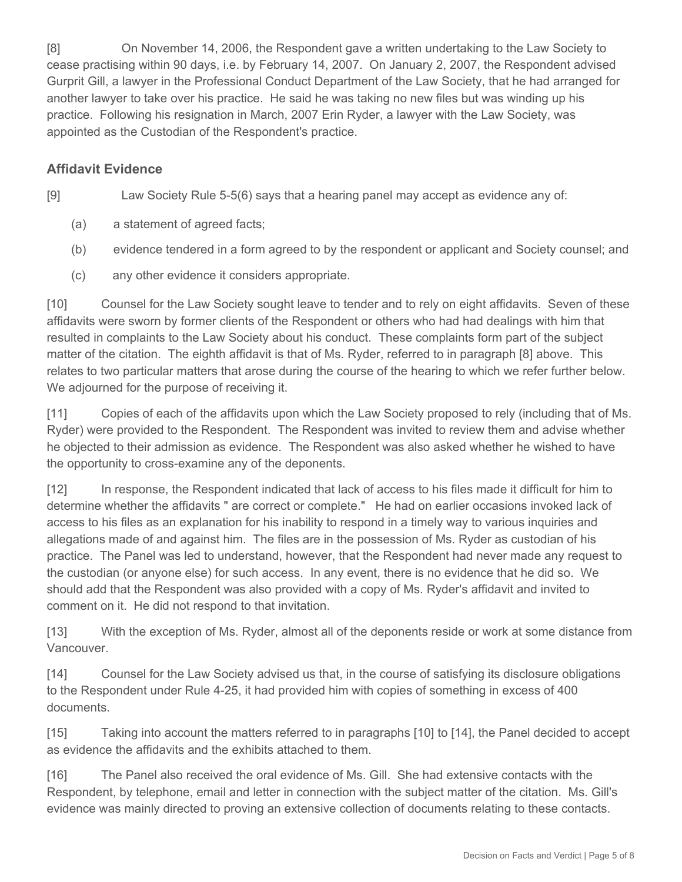[8] On November 14, 2006, the Respondent gave a written undertaking to the Law Society to cease practising within 90 days, i.e. by February 14, 2007. On January 2, 2007, the Respondent advised Gurprit Gill, a lawyer in the Professional Conduct Department of the Law Society, that he had arranged for another lawyer to take over his practice. He said he was taking no new files but was winding up his practice. Following his resignation in March, 2007 Erin Ryder, a lawyer with the Law Society, was appointed as the Custodian of the Respondent's practice.

## **Affidavit Evidence**

[9] Law Society Rule 5-5(6) says that a hearing panel may accept as evidence any of:

- (a) a statement of agreed facts;
- (b) evidence tendered in a form agreed to by the respondent or applicant and Society counsel; and
- (c) any other evidence it considers appropriate.

[10] Counsel for the Law Society sought leave to tender and to rely on eight affidavits. Seven of these affidavits were sworn by former clients of the Respondent or others who had had dealings with him that resulted in complaints to the Law Society about his conduct. These complaints form part of the subject matter of the citation. The eighth affidavit is that of Ms. Ryder, referred to in paragraph [8] above. This relates to two particular matters that arose during the course of the hearing to which we refer further below. We adjourned for the purpose of receiving it.

[11] Copies of each of the affidavits upon which the Law Society proposed to rely (including that of Ms. Ryder) were provided to the Respondent. The Respondent was invited to review them and advise whether he objected to their admission as evidence. The Respondent was also asked whether he wished to have the opportunity to cross-examine any of the deponents.

[12] In response, the Respondent indicated that lack of access to his files made it difficult for him to determine whether the affidavits " are correct or complete." He had on earlier occasions invoked lack of access to his files as an explanation for his inability to respond in a timely way to various inquiries and allegations made of and against him. The files are in the possession of Ms. Ryder as custodian of his practice. The Panel was led to understand, however, that the Respondent had never made any request to the custodian (or anyone else) for such access. In any event, there is no evidence that he did so. We should add that the Respondent was also provided with a copy of Ms. Ryder's affidavit and invited to comment on it. He did not respond to that invitation.

[13] With the exception of Ms. Ryder, almost all of the deponents reside or work at some distance from Vancouver.

[14] Counsel for the Law Society advised us that, in the course of satisfying its disclosure obligations to the Respondent under Rule 4-25, it had provided him with copies of something in excess of 400 documents.

[15] Taking into account the matters referred to in paragraphs [10] to [14], the Panel decided to accept as evidence the affidavits and the exhibits attached to them.

[16] The Panel also received the oral evidence of Ms. Gill. She had extensive contacts with the Respondent, by telephone, email and letter in connection with the subject matter of the citation. Ms. Gill's evidence was mainly directed to proving an extensive collection of documents relating to these contacts.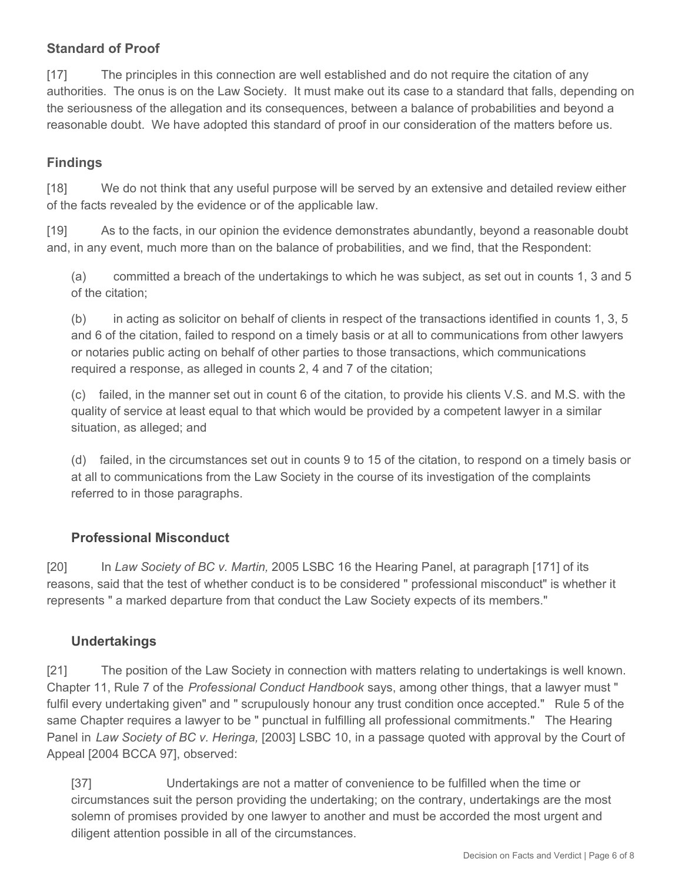# **Standard of Proof**

[17] The principles in this connection are well established and do not require the citation of any authorities. The onus is on the Law Society. It must make out its case to a standard that falls, depending on the seriousness of the allegation and its consequences, between a balance of probabilities and beyond a reasonable doubt. We have adopted this standard of proof in our consideration of the matters before us.

# **Findings**

[18] We do not think that any useful purpose will be served by an extensive and detailed review either of the facts revealed by the evidence or of the applicable law.

[19] As to the facts, in our opinion the evidence demonstrates abundantly, beyond a reasonable doubt and, in any event, much more than on the balance of probabilities, and we find, that the Respondent:

(a) committed a breach of the undertakings to which he was subject, as set out in counts 1, 3 and 5 of the citation;

(b) in acting as solicitor on behalf of clients in respect of the transactions identified in counts 1, 3, 5 and 6 of the citation, failed to respond on a timely basis or at all to communications from other lawyers or notaries public acting on behalf of other parties to those transactions, which communications required a response, as alleged in counts 2, 4 and 7 of the citation;

(c) failed, in the manner set out in count 6 of the citation, to provide his clients V.S. and M.S. with the quality of service at least equal to that which would be provided by a competent lawyer in a similar situation, as alleged; and

(d) failed, in the circumstances set out in counts 9 to 15 of the citation, to respond on a timely basis or at all to communications from the Law Society in the course of its investigation of the complaints referred to in those paragraphs.

# **Professional Misconduct**

[20] In *Law Society of BC v. Martin,* 2005 LSBC 16 the Hearing Panel, at paragraph [171] of its reasons, said that the test of whether conduct is to be considered " professional misconduct" is whether it represents " a marked departure from that conduct the Law Society expects of its members."

## **Undertakings**

[21] The position of the Law Society in connection with matters relating to undertakings is well known. Chapter 11, Rule 7 of the *Professional Conduct Handbook* says, among other things, that a lawyer must " fulfil every undertaking given" and " scrupulously honour any trust condition once accepted." Rule 5 of the same Chapter requires a lawyer to be " punctual in fulfilling all professional commitments." The Hearing Panel in *Law Society of BC v. Heringa,* [2003] LSBC 10, in a passage quoted with approval by the Court of Appeal [2004 BCCA 97], observed:

[37] Undertakings are not a matter of convenience to be fulfilled when the time or circumstances suit the person providing the undertaking; on the contrary, undertakings are the most solemn of promises provided by one lawyer to another and must be accorded the most urgent and diligent attention possible in all of the circumstances.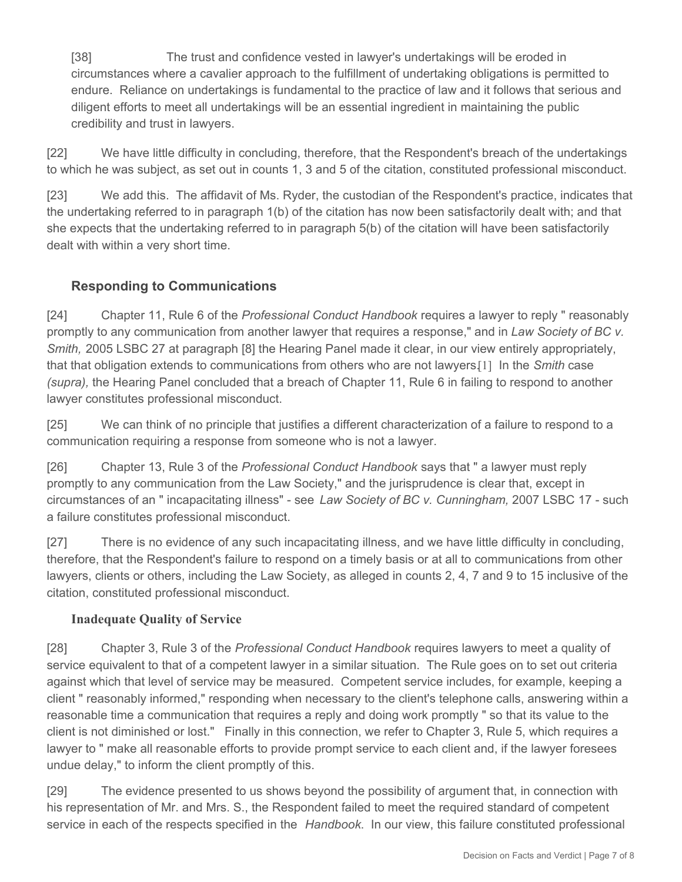[38] The trust and confidence vested in lawyer's undertakings will be eroded in circumstances where a cavalier approach to the fulfillment of undertaking obligations is permitted to endure. Reliance on undertakings is fundamental to the practice of law and it follows that serious and diligent efforts to meet all undertakings will be an essential ingredient in maintaining the public credibility and trust in lawyers.

[22] We have little difficulty in concluding, therefore, that the Respondent's breach of the undertakings to which he was subject, as set out in counts 1, 3 and 5 of the citation, constituted professional misconduct.

[23] We add this. The affidavit of Ms. Ryder, the custodian of the Respondent's practice, indicates that the undertaking referred to in paragraph 1(b) of the citation has now been satisfactorily dealt with; and that she expects that the undertaking referred to in paragraph 5(b) of the citation will have been satisfactorily dealt with within a very short time.

# **Responding to Communications**

[24] Chapter 11, Rule 6 of the *Professional Conduct Handbook* requires a lawyer to reply " reasonably promptly to any communication from another lawyer that requires a response," and in *Law Society of BC v. Smith,* 2005 LSBC 27 at paragraph [8] the Hearing Panel made it clear, in our view entirely appropriately, that that obligation extends to communications from others who are not lawyers.[1] In the *Smith* case *(supra),* the Hearing Panel concluded that a breach of Chapter 11, Rule 6 in failing to respond to another lawyer constitutes professional misconduct.

[25] We can think of no principle that justifies a different characterization of a failure to respond to a communication requiring a response from someone who is not a lawyer.

[26] Chapter 13, Rule 3 of the *Professional Conduct Handbook* says that " a lawyer must reply promptly to any communication from the Law Society," and the jurisprudence is clear that, except in circumstances of an " incapacitating illness" - see *Law Society of BC v. Cunningham,* 2007 LSBC 17 - such a failure constitutes professional misconduct.

[27] There is no evidence of any such incapacitating illness, and we have little difficulty in concluding, therefore, that the Respondent's failure to respond on a timely basis or at all to communications from other lawyers, clients or others, including the Law Society, as alleged in counts 2, 4, 7 and 9 to 15 inclusive of the citation, constituted professional misconduct.

## **Inadequate Quality of Service**

[28] Chapter 3, Rule 3 of the *Professional Conduct Handbook* requires lawyers to meet a quality of service equivalent to that of a competent lawyer in a similar situation. The Rule goes on to set out criteria against which that level of service may be measured. Competent service includes, for example, keeping a client " reasonably informed," responding when necessary to the client's telephone calls, answering within a reasonable time a communication that requires a reply and doing work promptly " so that its value to the client is not diminished or lost." Finally in this connection, we refer to Chapter 3, Rule 5, which requires a lawyer to " make all reasonable efforts to provide prompt service to each client and, if the lawyer foresees undue delay," to inform the client promptly of this.

[29] The evidence presented to us shows beyond the possibility of argument that, in connection with his representation of Mr. and Mrs. S., the Respondent failed to meet the required standard of competent service in each of the respects specified in the *Handbook*. In our view, this failure constituted professional